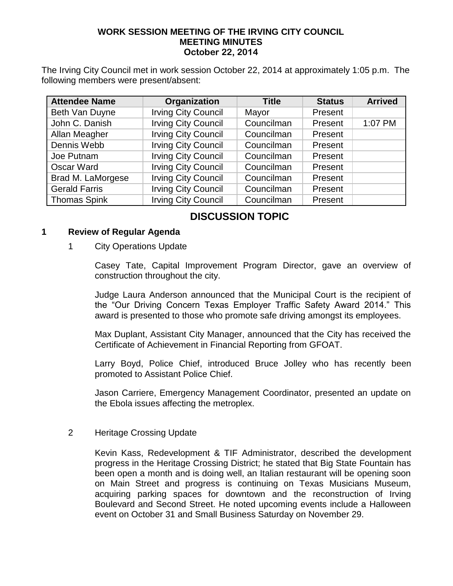### **WORK SESSION MEETING OF THE IRVING CITY COUNCIL MEETING MINUTES October 22, 2014**

The Irving City Council met in work session October 22, 2014 at approximately 1:05 p.m. The following members were present/absent:

| <b>Attendee Name</b> | Organization               | <b>Title</b> | <b>Status</b> | <b>Arrived</b> |
|----------------------|----------------------------|--------------|---------------|----------------|
| Beth Van Duyne       | <b>Irving City Council</b> | Mayor        | Present       |                |
| John C. Danish       | <b>Irving City Council</b> | Councilman   | Present       | 1:07 PM        |
| Allan Meagher        | <b>Irving City Council</b> | Councilman   | Present       |                |
| Dennis Webb          | <b>Irving City Council</b> | Councilman   | Present       |                |
| Joe Putnam           | <b>Irving City Council</b> | Councilman   | Present       |                |
| Oscar Ward           | <b>Irving City Council</b> | Councilman   | Present       |                |
| Brad M. LaMorgese    | <b>Irving City Council</b> | Councilman   | Present       |                |
| <b>Gerald Farris</b> | <b>Irving City Council</b> | Councilman   | Present       |                |
| <b>Thomas Spink</b>  | <b>Irving City Council</b> | Councilman   | Present       |                |

# **DISCUSSION TOPIC**

### **1 Review of Regular Agenda**

### 1 City Operations Update

Casey Tate, Capital Improvement Program Director, gave an overview of construction throughout the city.

Judge Laura Anderson announced that the Municipal Court is the recipient of the "Our Driving Concern Texas Employer Traffic Safety Award 2014." This award is presented to those who promote safe driving amongst its employees.

Max Duplant, Assistant City Manager, announced that the City has received the Certificate of Achievement in Financial Reporting from GFOAT.

Larry Boyd, Police Chief, introduced Bruce Jolley who has recently been promoted to Assistant Police Chief.

Jason Carriere, Emergency Management Coordinator, presented an update on the Ebola issues affecting the metroplex.

### 2 Heritage Crossing Update

Kevin Kass, Redevelopment & TIF Administrator, described the development progress in the Heritage Crossing District; he stated that Big State Fountain has been open a month and is doing well, an Italian restaurant will be opening soon on Main Street and progress is continuing on Texas Musicians Museum, acquiring parking spaces for downtown and the reconstruction of Irving Boulevard and Second Street. He noted upcoming events include a Halloween event on October 31 and Small Business Saturday on November 29.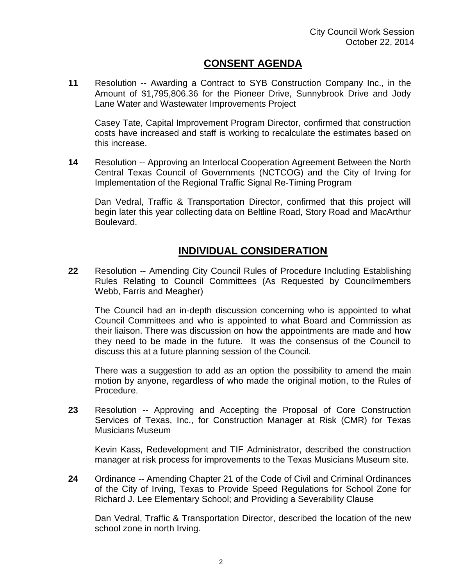# **CONSENT AGENDA**

**11** Resolution -- Awarding a Contract to SYB Construction Company Inc., in the Amount of \$1,795,806.36 for the Pioneer Drive, Sunnybrook Drive and Jody Lane Water and Wastewater Improvements Project

Casey Tate, Capital Improvement Program Director, confirmed that construction costs have increased and staff is working to recalculate the estimates based on this increase.

**14** Resolution -- Approving an Interlocal Cooperation Agreement Between the North Central Texas Council of Governments (NCTCOG) and the City of Irving for Implementation of the Regional Traffic Signal Re-Timing Program

Dan Vedral, Traffic & Transportation Director, confirmed that this project will begin later this year collecting data on Beltline Road, Story Road and MacArthur Boulevard.

# **INDIVIDUAL CONSIDERATION**

**22** Resolution -- Amending City Council Rules of Procedure Including Establishing Rules Relating to Council Committees (As Requested by Councilmembers Webb, Farris and Meagher)

The Council had an in-depth discussion concerning who is appointed to what Council Committees and who is appointed to what Board and Commission as their liaison. There was discussion on how the appointments are made and how they need to be made in the future. It was the consensus of the Council to discuss this at a future planning session of the Council.

There was a suggestion to add as an option the possibility to amend the main motion by anyone, regardless of who made the original motion, to the Rules of Procedure.

**23** Resolution -- Approving and Accepting the Proposal of Core Construction Services of Texas, Inc., for Construction Manager at Risk (CMR) for Texas Musicians Museum

Kevin Kass, Redevelopment and TIF Administrator, described the construction manager at risk process for improvements to the Texas Musicians Museum site.

**24** Ordinance -- Amending Chapter 21 of the Code of Civil and Criminal Ordinances of the City of Irving, Texas to Provide Speed Regulations for School Zone for Richard J. Lee Elementary School; and Providing a Severability Clause

Dan Vedral, Traffic & Transportation Director, described the location of the new school zone in north Irving.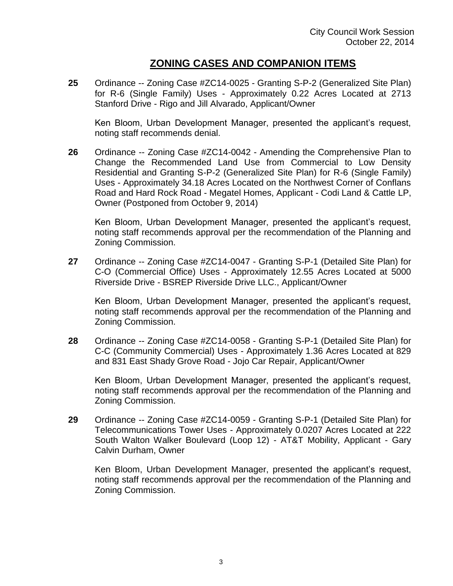### **ZONING CASES AND COMPANION ITEMS**

**25** Ordinance -- Zoning Case #ZC14-0025 - Granting S-P-2 (Generalized Site Plan) for R-6 (Single Family) Uses - Approximately 0.22 Acres Located at 2713 Stanford Drive - Rigo and Jill Alvarado, Applicant/Owner

Ken Bloom, Urban Development Manager, presented the applicant's request, noting staff recommends denial.

**26** Ordinance -- Zoning Case #ZC14-0042 - Amending the Comprehensive Plan to Change the Recommended Land Use from Commercial to Low Density Residential and Granting S-P-2 (Generalized Site Plan) for R-6 (Single Family) Uses - Approximately 34.18 Acres Located on the Northwest Corner of Conflans Road and Hard Rock Road - Megatel Homes, Applicant - Codi Land & Cattle LP, Owner (Postponed from October 9, 2014)

Ken Bloom, Urban Development Manager, presented the applicant's request, noting staff recommends approval per the recommendation of the Planning and Zoning Commission.

**27** Ordinance -- Zoning Case #ZC14-0047 - Granting S-P-1 (Detailed Site Plan) for C-O (Commercial Office) Uses - Approximately 12.55 Acres Located at 5000 Riverside Drive - BSREP Riverside Drive LLC., Applicant/Owner

Ken Bloom, Urban Development Manager, presented the applicant's request, noting staff recommends approval per the recommendation of the Planning and Zoning Commission.

**28** Ordinance -- Zoning Case #ZC14-0058 - Granting S-P-1 (Detailed Site Plan) for C-C (Community Commercial) Uses - Approximately 1.36 Acres Located at 829 and 831 East Shady Grove Road - Jojo Car Repair, Applicant/Owner

Ken Bloom, Urban Development Manager, presented the applicant's request, noting staff recommends approval per the recommendation of the Planning and Zoning Commission.

**29** Ordinance -- Zoning Case #ZC14-0059 - Granting S-P-1 (Detailed Site Plan) for Telecommunications Tower Uses - Approximately 0.0207 Acres Located at 222 South Walton Walker Boulevard (Loop 12) - AT&T Mobility, Applicant - Gary Calvin Durham, Owner

Ken Bloom, Urban Development Manager, presented the applicant's request, noting staff recommends approval per the recommendation of the Planning and Zoning Commission.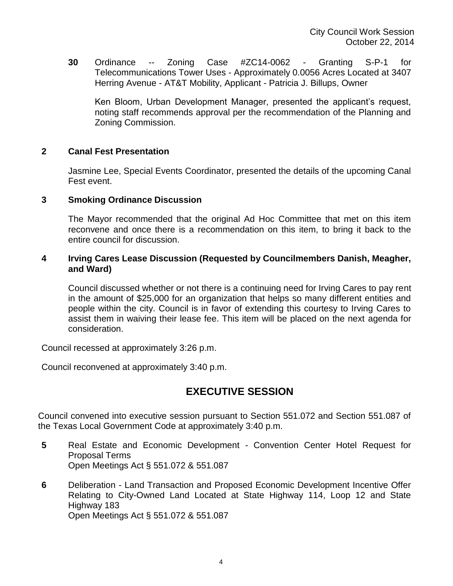**30** Ordinance -- Zoning Case #ZC14-0062 - Granting S-P-1 for Telecommunications Tower Uses - Approximately 0.0056 Acres Located at 3407 Herring Avenue - AT&T Mobility, Applicant - Patricia J. Billups, Owner

Ken Bloom, Urban Development Manager, presented the applicant's request, noting staff recommends approval per the recommendation of the Planning and Zoning Commission.

### **2 Canal Fest Presentation**

Jasmine Lee, Special Events Coordinator, presented the details of the upcoming Canal Fest event.

#### **3 Smoking Ordinance Discussion**

The Mayor recommended that the original Ad Hoc Committee that met on this item reconvene and once there is a recommendation on this item, to bring it back to the entire council for discussion.

### **4 Irving Cares Lease Discussion (Requested by Councilmembers Danish, Meagher, and Ward)**

Council discussed whether or not there is a continuing need for Irving Cares to pay rent in the amount of \$25,000 for an organization that helps so many different entities and people within the city. Council is in favor of extending this courtesy to Irving Cares to assist them in waiving their lease fee. This item will be placed on the next agenda for consideration.

Council recessed at approximately 3:26 p.m.

Council reconvened at approximately 3:40 p.m.

### **EXECUTIVE SESSION**

Council convened into executive session pursuant to Section 551.072 and Section 551.087 of the Texas Local Government Code at approximately 3:40 p.m.

- **5** Real Estate and Economic Development Convention Center Hotel Request for Proposal Terms Open Meetings Act § 551.072 & 551.087
- **6** Deliberation Land Transaction and Proposed Economic Development Incentive Offer Relating to City-Owned Land Located at State Highway 114, Loop 12 and State Highway 183

Open Meetings Act § 551.072 & 551.087